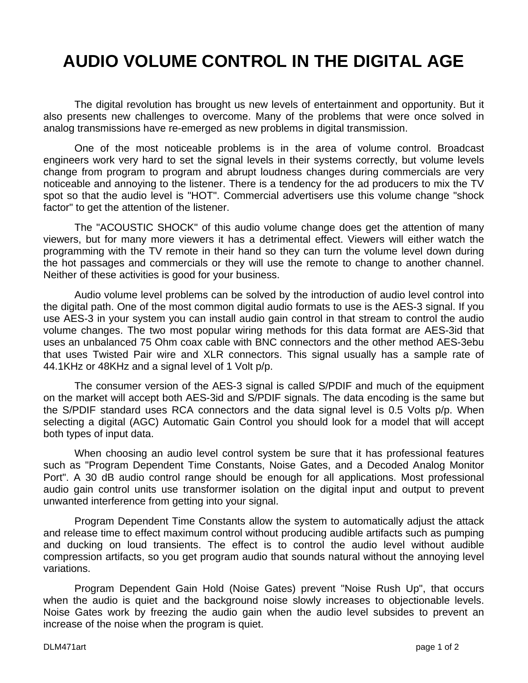## **AUDIO VOLUME CONTROL IN THE DIGITAL AGE**

The digital revolution has brought us new levels of entertainment and opportunity. But it also presents new challenges to overcome. Many of the problems that were once solved in analog transmissions have re-emerged as new problems in digital transmission.

One of the most noticeable problems is in the area of volume control. Broadcast engineers work very hard to set the signal levels in their systems correctly, but volume levels change from program to program and abrupt loudness changes during commercials are very noticeable and annoying to the listener. There is a tendency for the ad producers to mix the TV spot so that the audio level is "HOT". Commercial advertisers use this volume change "shock factor" to get the attention of the listener.

The "ACOUSTIC SHOCK" of this audio volume change does get the attention of many viewers, but for many more viewers it has a detrimental effect. Viewers will either watch the programming with the TV remote in their hand so they can turn the volume level down during the hot passages and commercials or they will use the remote to change to another channel. Neither of these activities is good for your business.

Audio volume level problems can be solved by the introduction of audio level control into the digital path. One of the most common digital audio formats to use is the AES-3 signal. If you use AES-3 in your system you can install audio gain control in that stream to control the audio volume changes. The two most popular wiring methods for this data format are AES-3id that uses an unbalanced 75 Ohm coax cable with BNC connectors and the other method AES-3ebu that uses Twisted Pair wire and XLR connectors. This signal usually has a sample rate of 44.1KHz or 48KHz and a signal level of 1 Volt p/p.

The consumer version of the AES-3 signal is called S/PDIF and much of the equipment on the market will accept both AES-3id and S/PDIF signals. The data encoding is the same but the S/PDIF standard uses RCA connectors and the data signal level is 0.5 Volts p/p. When selecting a digital (AGC) Automatic Gain Control you should look for a model that will accept both types of input data.

When choosing an audio level control system be sure that it has professional features such as "Program Dependent Time Constants, Noise Gates, and a Decoded Analog Monitor Port". A 30 dB audio control range should be enough for all applications. Most professional audio gain control units use transformer isolation on the digital input and output to prevent unwanted interference from getting into your signal.

Program Dependent Time Constants allow the system to automatically adjust the attack and release time to effect maximum control without producing audible artifacts such as pumping and ducking on loud transients. The effect is to control the audio level without audible compression artifacts, so you get program audio that sounds natural without the annoying level variations.

Program Dependent Gain Hold (Noise Gates) prevent "Noise Rush Up", that occurs when the audio is quiet and the background noise slowly increases to objectionable levels. Noise Gates work by freezing the audio gain when the audio level subsides to prevent an increase of the noise when the program is quiet.